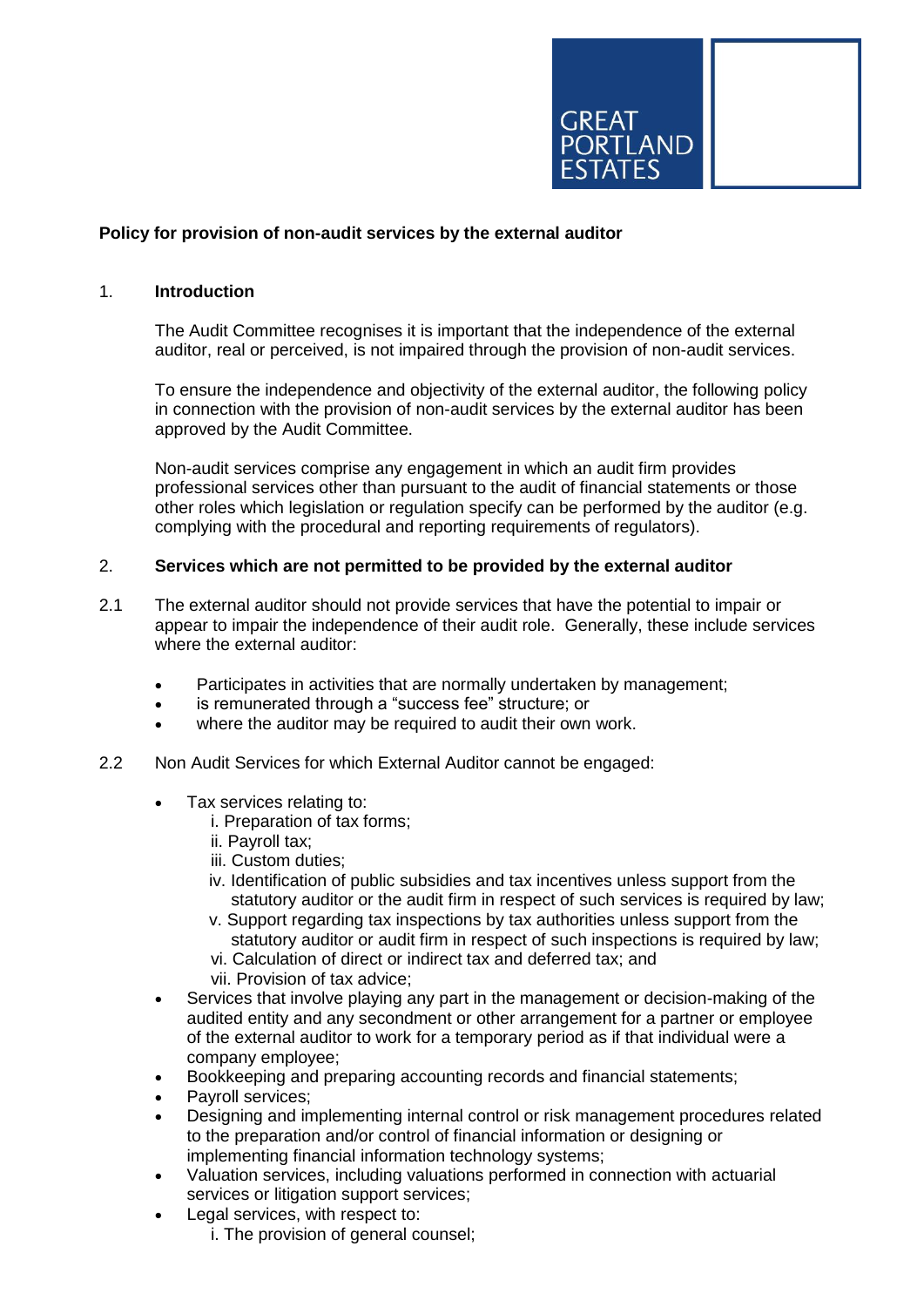

## **Policy for provision of non-audit services by the external auditor**

### 1. **Introduction**

The Audit Committee recognises it is important that the independence of the external auditor, real or perceived, is not impaired through the provision of non-audit services.

To ensure the independence and objectivity of the external auditor, the following policy in connection with the provision of non-audit services by the external auditor has been approved by the Audit Committee.

Non-audit services comprise any engagement in which an audit firm provides professional services other than pursuant to the audit of financial statements or those other roles which legislation or regulation specify can be performed by the auditor (e.g. complying with the procedural and reporting requirements of regulators).

#### 2. **Services which are not permitted to be provided by the external auditor**

- 2.1 The external auditor should not provide services that have the potential to impair or appear to impair the independence of their audit role. Generally, these include services where the external auditor:
	- Participates in activities that are normally undertaken by management;
	- is remunerated through a "success fee" structure; or
	- where the auditor may be required to audit their own work.
- 2.2 Non Audit Services for which External Auditor cannot be engaged:
	- Tax services relating to:
		- i. Preparation of tax forms;
		- ii. Payroll tax;
		- iii. Custom duties;
		- iv. Identification of public subsidies and tax incentives unless support from the statutory auditor or the audit firm in respect of such services is required by law;
		- v. Support regarding tax inspections by tax authorities unless support from the statutory auditor or audit firm in respect of such inspections is required by law;
		- vi. Calculation of direct or indirect tax and deferred tax; and
		- vii. Provision of tax advice;
	- Services that involve playing any part in the management or decision-making of the audited entity and any secondment or other arrangement for a partner or employee of the external auditor to work for a temporary period as if that individual were a company employee;
	- Bookkeeping and preparing accounting records and financial statements;
	- Payroll services;
	- Designing and implementing internal control or risk management procedures related to the preparation and/or control of financial information or designing or implementing financial information technology systems;
	- Valuation services, including valuations performed in connection with actuarial services or litigation support services;
	- Legal services, with respect to:
		- i. The provision of general counsel;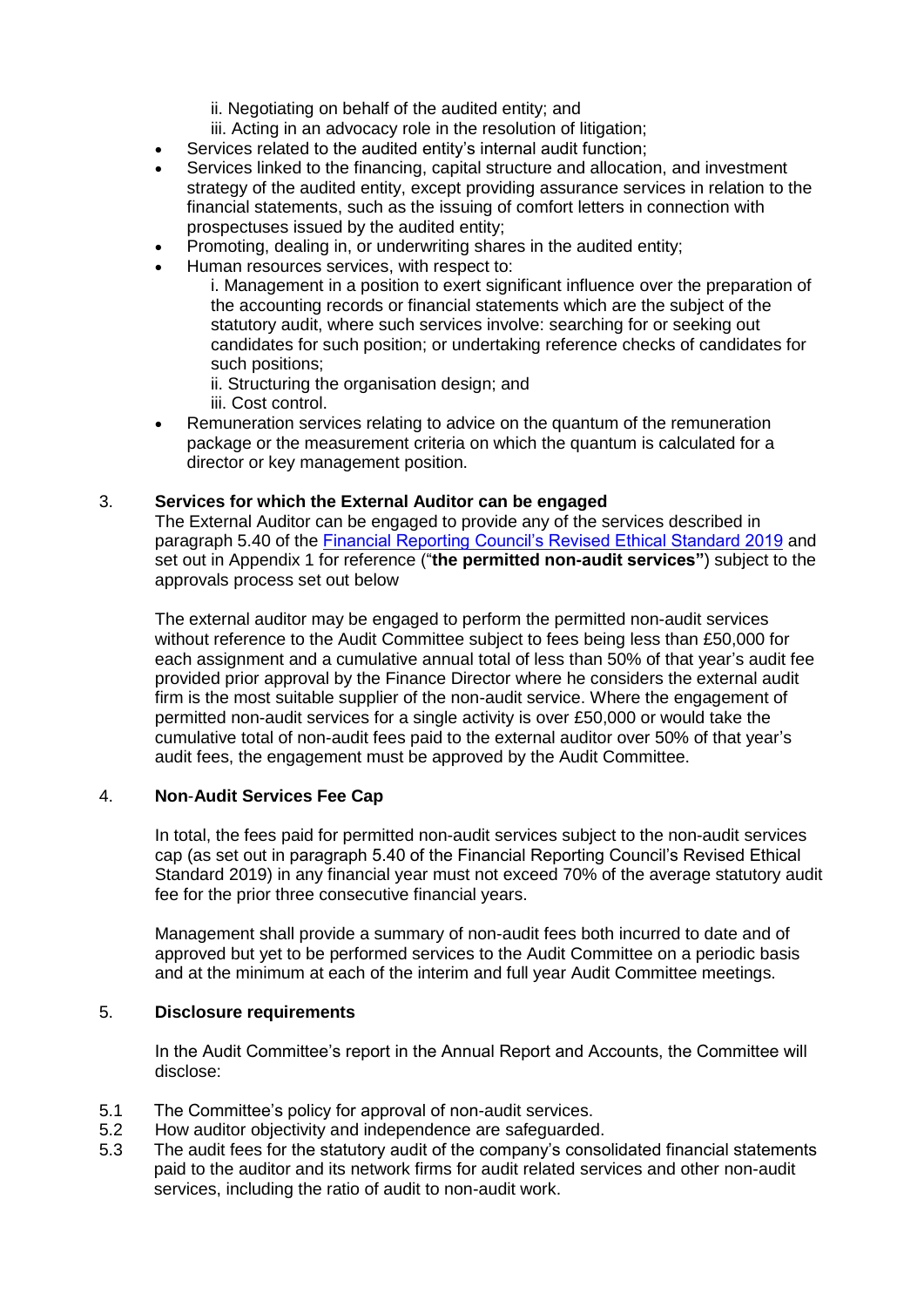ii. Negotiating on behalf of the audited entity; and

iii. Acting in an advocacy role in the resolution of litigation;

- Services related to the audited entity's internal audit function;
- Services linked to the financing, capital structure and allocation, and investment strategy of the audited entity, except providing assurance services in relation to the financial statements, such as the issuing of comfort letters in connection with prospectuses issued by the audited entity;
- Promoting, dealing in, or underwriting shares in the audited entity;
- Human resources services, with respect to:

i. Management in a position to exert significant influence over the preparation of the accounting records or financial statements which are the subject of the statutory audit, where such services involve: searching for or seeking out candidates for such position; or undertaking reference checks of candidates for such positions;

ii. Structuring the organisation design; and

iii. Cost control.

 Remuneration services relating to advice on the quantum of the remuneration package or the measurement criteria on which the quantum is calculated for a director or key management position.

### 3. **Services for which the External Auditor can be engaged**

The External Auditor can be engaged to provide any of the services described in paragraph 5.40 of the [Financial Reporting Council's Revised Ethical Standard 2019](https://www.frc.org.uk/getattachment/601c8b09-2c0a-4a6c-8080-30f63e50b4a2/Revised-Ethical-Standards-2019-Updated-With-Covers.pdf) and set out in Appendix 1 for reference ("**the permitted non-audit services"**) subject to the approvals process set out below

The external auditor may be engaged to perform the permitted non-audit services without reference to the Audit Committee subject to fees being less than £50,000 for each assignment and a cumulative annual total of less than 50% of that year's audit fee provided prior approval by the Finance Director where he considers the external audit firm is the most suitable supplier of the non-audit service. Where the engagement of permitted non-audit services for a single activity is over £50,000 or would take the cumulative total of non-audit fees paid to the external auditor over 50% of that year's audit fees, the engagement must be approved by the Audit Committee.

### 4. **Non**-**Audit Services Fee Cap**

In total, the fees paid for permitted non-audit services subject to the non-audit services cap (as set out in paragraph 5.40 of the Financial Reporting Council's Revised Ethical Standard 2019) in any financial year must not exceed 70% of the average statutory audit fee for the prior three consecutive financial years.

Management shall provide a summary of non-audit fees both incurred to date and of approved but yet to be performed services to the Audit Committee on a periodic basis and at the minimum at each of the interim and full year Audit Committee meetings.

### 5. **Disclosure requirements**

In the Audit Committee's report in the Annual Report and Accounts, the Committee will disclose:

- 5.1 The Committee's policy for approval of non-audit services.
- 5.2 How auditor objectivity and independence are safeguarded.
- 5.3 The audit fees for the statutory audit of the company's consolidated financial statements paid to the auditor and its network firms for audit related services and other non-audit services, including the ratio of audit to non-audit work.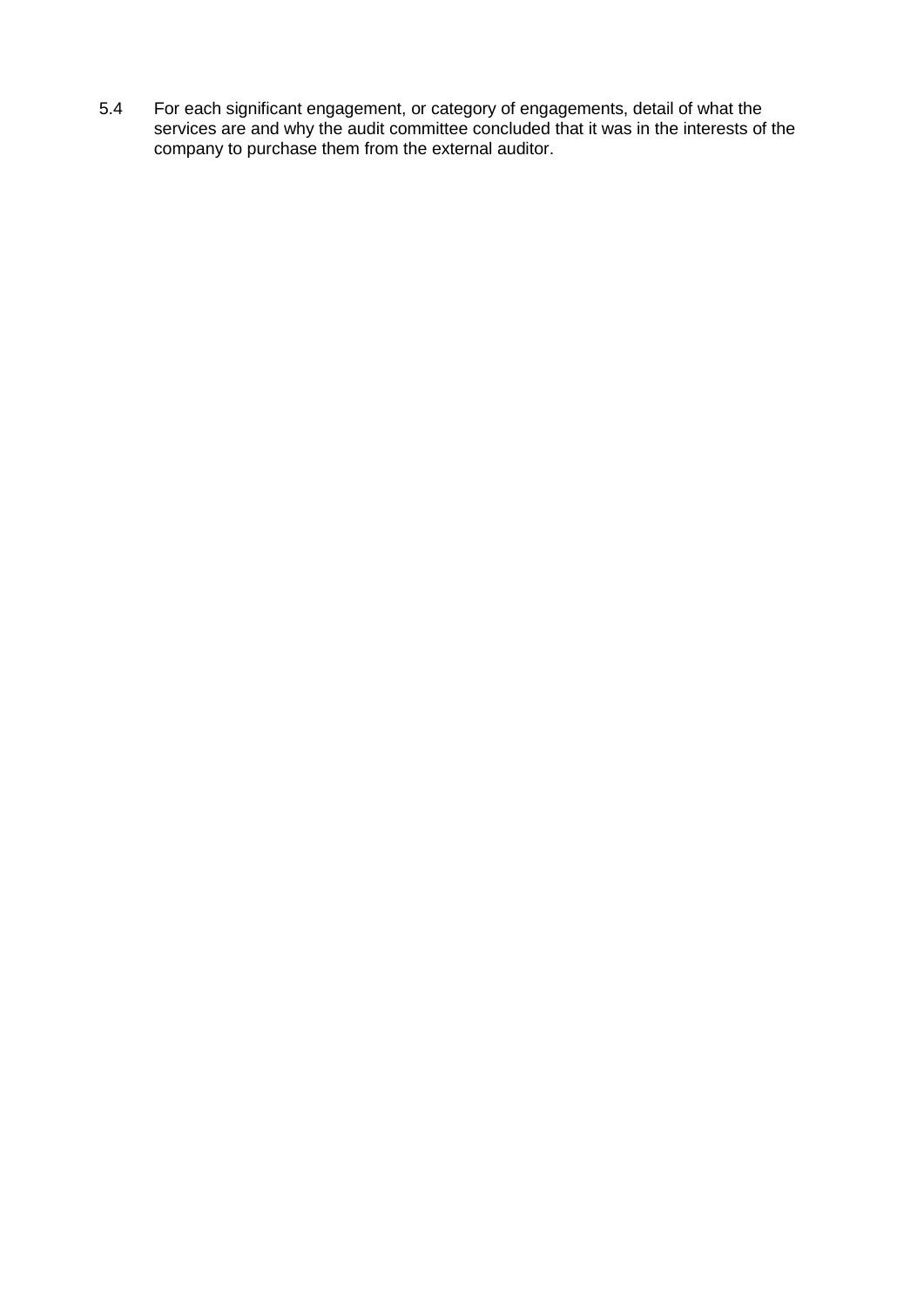5.4 For each significant engagement, or category of engagements, detail of what the services are and why the audit committee concluded that it was in the interests of the company to purchase them from the external auditor.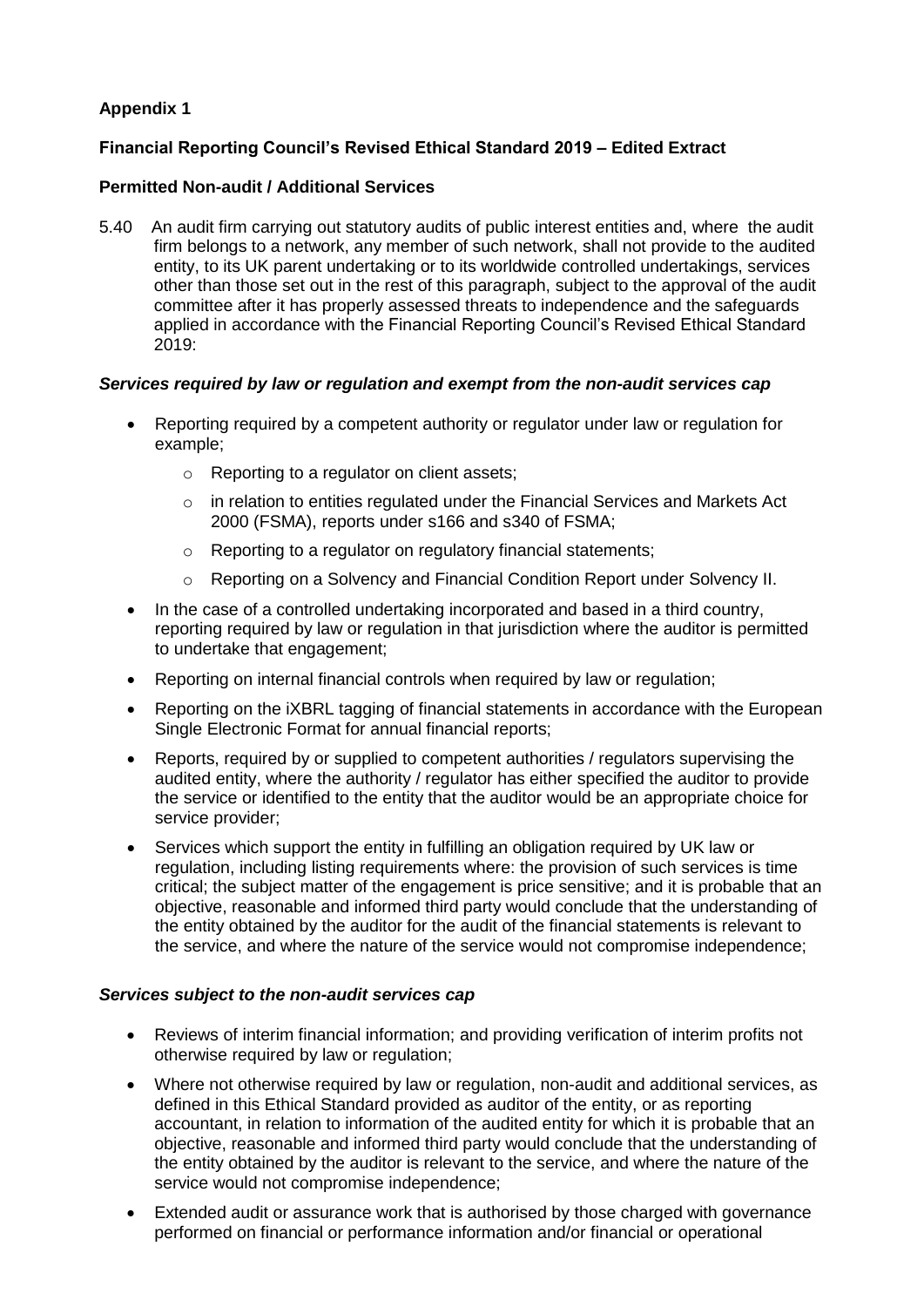# **Appendix 1**

# **[Financial Reporting Council's Revised Ethical Standard 2019](https://www.frc.org.uk/getattachment/601c8b09-2c0a-4a6c-8080-30f63e50b4a2/Revised-Ethical-Standards-2019-Updated-With-Covers.pdf) – Edited Extract**

## **Permitted Non-audit / Additional Services**

5.40 An audit firm carrying out statutory audits of public interest entities and, where the audit firm belongs to a network, any member of such network, shall not provide to the audited entity, to its UK parent undertaking or to its worldwide controlled undertakings, services other than those set out in the rest of this paragraph, subject to the approval of the audit committee after it has properly assessed threats to independence and the safeguards applied in accordance with the Financial Reporting Council's Revised Ethical Standard 2019:

### *Services required by law or regulation and exempt from the non-audit services cap*

- Reporting required by a competent authority or regulator under law or regulation for example;
	- o Reporting to a regulator on client assets;
	- $\circ$  in relation to entities regulated under the Financial Services and Markets Act 2000 (FSMA), reports under s166 and s340 of FSMA;
	- o Reporting to a regulator on regulatory financial statements;
	- o Reporting on a Solvency and Financial Condition Report under Solvency II.
- In the case of a controlled undertaking incorporated and based in a third country, reporting required by law or regulation in that jurisdiction where the auditor is permitted to undertake that engagement;
- Reporting on internal financial controls when required by law or regulation;
- Reporting on the iXBRL tagging of financial statements in accordance with the European Single Electronic Format for annual financial reports;
- Reports, required by or supplied to competent authorities / regulators supervising the audited entity, where the authority / regulator has either specified the auditor to provide the service or identified to the entity that the auditor would be an appropriate choice for service provider;
- Services which support the entity in fulfilling an obligation required by UK law or regulation, including listing requirements where: the provision of such services is time critical; the subject matter of the engagement is price sensitive; and it is probable that an objective, reasonable and informed third party would conclude that the understanding of the entity obtained by the auditor for the audit of the financial statements is relevant to the service, and where the nature of the service would not compromise independence;

### *Services subject to the non-audit services cap*

- Reviews of interim financial information; and providing verification of interim profits not otherwise required by law or regulation;
- Where not otherwise required by law or regulation, non-audit and additional services, as defined in this Ethical Standard provided as auditor of the entity, or as reporting accountant, in relation to information of the audited entity for which it is probable that an objective, reasonable and informed third party would conclude that the understanding of the entity obtained by the auditor is relevant to the service, and where the nature of the service would not compromise independence;
- Extended audit or assurance work that is authorised by those charged with governance performed on financial or performance information and/or financial or operational